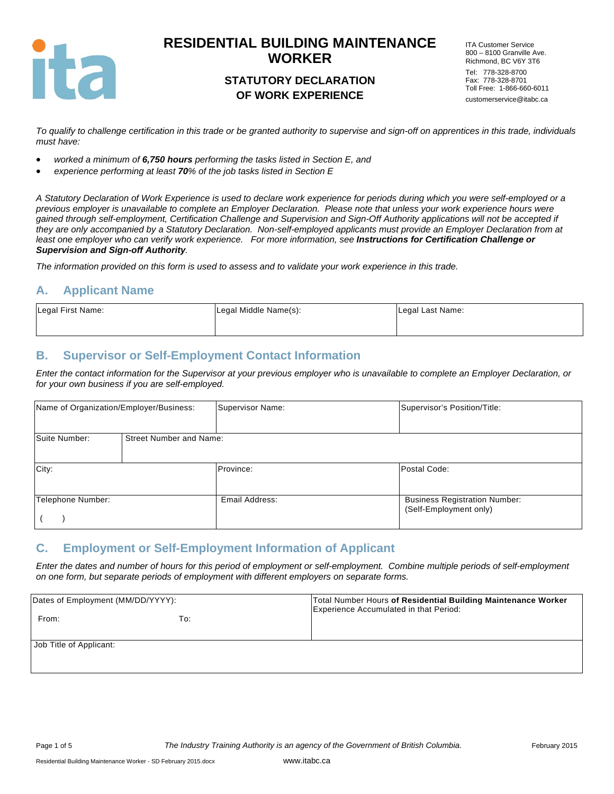

### **STATUTORY DECLARATION OF WORK EXPERIENCE**

ITA Customer Service 800 – 8100 Granville Ave. Richmond, BC V6Y 3T6 Tel: 778-328-8700 Fax: 778-328-8701 Toll Free: 1-866-660-6011 customerservice@itabc.ca

*To qualify to challenge certification in this trade or be granted authority to supervise and sign-off on apprentices in this trade, individuals must have:* 

- *worked a minimum of 6,750 hours performing the tasks listed in Section E, and*
- *experience performing at least 70% of the job tasks listed in Section E*

*A Statutory Declaration of Work Experience is used to declare work experience for periods during which you were self-employed or a previous employer is unavailable to complete an Employer Declaration. Please note that unless your work experience hours were gained through self-employment, Certification Challenge and Supervision and Sign-Off Authority applications will not be accepted if they are only accompanied by a Statutory Declaration. Non-self-employed applicants must provide an Employer Declaration from at*  least one employer who can verify work experience. For more information, see **Instructions for Certification Challenge or** *Supervision and Sign-off Authority.* 

*The information provided on this form is used to assess and to validate your work experience in this trade.* 

#### **A. Applicant Name**

| Legal First Name: | Legal Middle Name(s): | Legal Last Name: |
|-------------------|-----------------------|------------------|
|                   |                       |                  |

### **B. Supervisor or Self-Employment Contact Information**

*Enter the contact information for the Supervisor at your previous employer who is unavailable to complete an Employer Declaration, or for your own business if you are self-employed.* 

| Name of Organization/Employer/Business: |                         | Supervisor Name: | Supervisor's Position/Title:                                   |
|-----------------------------------------|-------------------------|------------------|----------------------------------------------------------------|
| Suite Number:                           | Street Number and Name: |                  |                                                                |
| City:                                   |                         | Province:        | Postal Code:                                                   |
| Telephone Number:                       |                         | Email Address:   | <b>Business Registration Number:</b><br>(Self-Employment only) |

#### **C. Employment or Self-Employment Information of Applicant**

*Enter the dates and number of hours for this period of employment or self-employment. Combine multiple periods of self-employment on one form, but separate periods of employment with different employers on separate forms.* 

| Dates of Employment (MM/DD/YYYY): |     | Total Number Hours of Residential Building Maintenance Worker<br>Experience Accumulated in that Period: |
|-----------------------------------|-----|---------------------------------------------------------------------------------------------------------|
| From:                             | To: |                                                                                                         |
| Job Title of Applicant:           |     |                                                                                                         |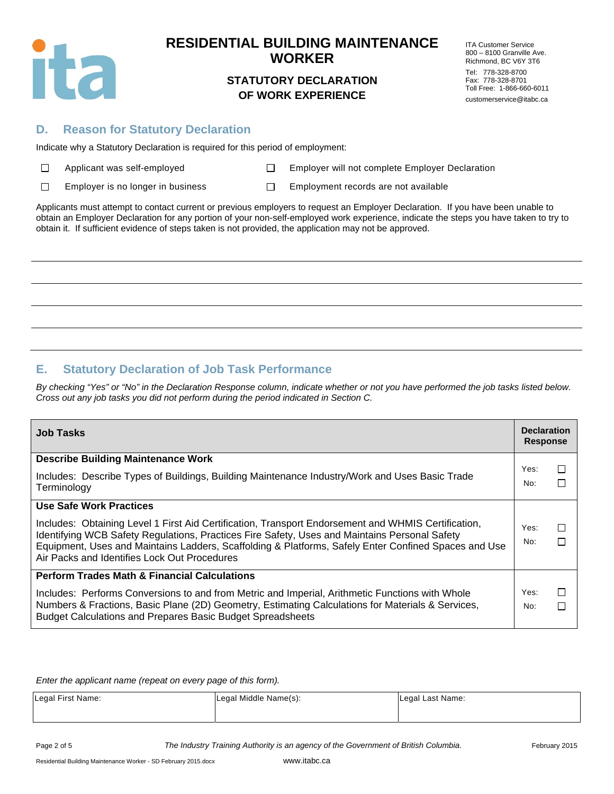

### **STATUTORY DECLARATION OF WORK EXPERIENCE**

ITA Customer Service 800 – 8100 Granville Ave. Richmond, BC V6Y 3T6 Tel: 778-328-8700 Fax: 778-328-8701 Toll Free: 1-866-660-6011 customerservice@itabc.ca

### **D. Reason for Statutory Declaration**

Indicate why a Statutory Declaration is required for this period of employment:

Applicant Mapple Employer will not complete Employer Declaration

 $\Box$ 

Employer is no longer in business  $\square$  Employment records are not available

Applicants must attempt to contact current or previous employers to request an Employer Declaration. If you have been unable to obtain an Employer Declaration for any portion of your non-self-employed work experience, indicate the steps you have taken to try to obtain it. If sufficient evidence of steps taken is not provided, the application may not be approved.

## **E. Statutory Declaration of Job Task Performance**

*By checking "Yes" or "No" in the Declaration Response column, indicate whether or not you have performed the job tasks listed below. Cross out any job tasks you did not perform during the period indicated in Section C.* 

| <b>Job Tasks</b>                                                                                                                                                                                                                                                                                                                                                                               | <b>Declaration</b><br><b>Response</b> |                   |
|------------------------------------------------------------------------------------------------------------------------------------------------------------------------------------------------------------------------------------------------------------------------------------------------------------------------------------------------------------------------------------------------|---------------------------------------|-------------------|
| <b>Describe Building Maintenance Work</b><br>Includes: Describe Types of Buildings, Building Maintenance Industry/Work and Uses Basic Trade<br>Terminology                                                                                                                                                                                                                                     | Yes:<br>No:                           | П                 |
| <b>Use Safe Work Practices</b><br>Includes: Obtaining Level 1 First Aid Certification, Transport Endorsement and WHMIS Certification,<br>Identifying WCB Safety Regulations, Practices Fire Safety, Uses and Maintains Personal Safety<br>Equipment, Uses and Maintains Ladders, Scaffolding & Platforms, Safely Enter Confined Spaces and Use<br>Air Packs and Identifies Lock Out Procedures | Yes:<br>No:                           | П<br>П            |
| <b>Perform Trades Math &amp; Financial Calculations</b><br>Includes: Performs Conversions to and from Metric and Imperial, Arithmetic Functions with Whole<br>Numbers & Fractions, Basic Plane (2D) Geometry, Estimating Calculations for Materials & Services,<br><b>Budget Calculations and Prepares Basic Budget Spreadsheets</b>                                                           | Yes:<br>No:                           | $\mathsf{L}$<br>П |

*Enter the applicant name (repeat on every page of this form).* 

| Legal First Name: | Legal Middle Name(s): | Legal Last Name: |
|-------------------|-----------------------|------------------|
|                   |                       |                  |

Page 2 of 5 *The Industry Training Authority is an agency of the Government of British Columbia.* February 2015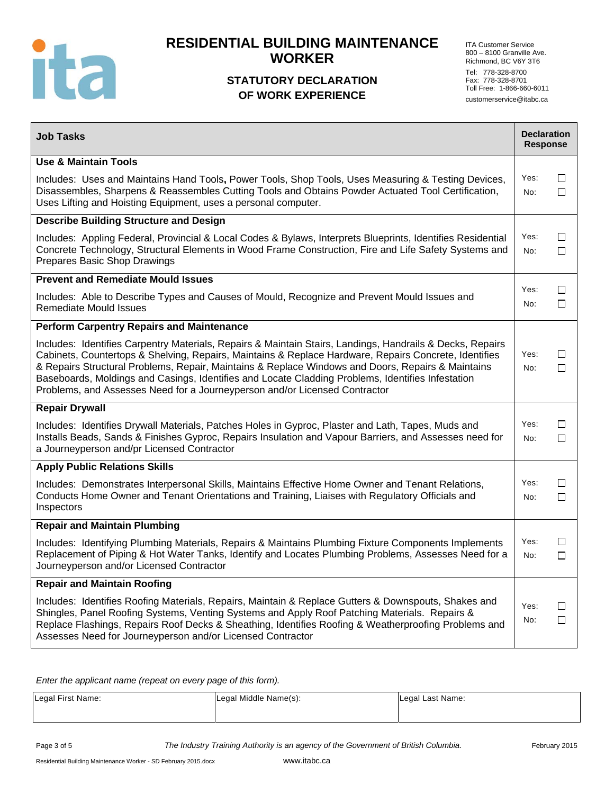

## **STATUTORY DECLARATION OF WORK EXPERIENCE**

ITA Customer Service 800 – 8100 Granville Ave. Richmond, BC V6Y 3T6 Tel: 778-328-8700 Fax: 778-328-8701 Toll Free: 1-866-660-6011 customerservice@itabc.ca

| <b>Job Tasks</b>                                                                                                                                                                                                                                                                                                                                                                                                                                                                                           | <b>Declaration</b><br><b>Response</b> |                  |
|------------------------------------------------------------------------------------------------------------------------------------------------------------------------------------------------------------------------------------------------------------------------------------------------------------------------------------------------------------------------------------------------------------------------------------------------------------------------------------------------------------|---------------------------------------|------------------|
| <b>Use &amp; Maintain Tools</b>                                                                                                                                                                                                                                                                                                                                                                                                                                                                            |                                       |                  |
| Includes: Uses and Maintains Hand Tools, Power Tools, Shop Tools, Uses Measuring & Testing Devices,<br>Disassembles, Sharpens & Reassembles Cutting Tools and Obtains Powder Actuated Tool Certification,<br>Uses Lifting and Hoisting Equipment, uses a personal computer.                                                                                                                                                                                                                                | Yes:<br>No:                           | □<br>$\Box$      |
| <b>Describe Building Structure and Design</b>                                                                                                                                                                                                                                                                                                                                                                                                                                                              |                                       |                  |
| Includes: Appling Federal, Provincial & Local Codes & Bylaws, Interprets Blueprints, Identifies Residential<br>Concrete Technology, Structural Elements in Wood Frame Construction, Fire and Life Safety Systems and<br>Prepares Basic Shop Drawings                                                                                                                                                                                                                                                       | Yes:<br>No:                           | □<br>□           |
| <b>Prevent and Remediate Mould Issues</b>                                                                                                                                                                                                                                                                                                                                                                                                                                                                  |                                       |                  |
| Includes: Able to Describe Types and Causes of Mould, Recognize and Prevent Mould Issues and<br><b>Remediate Mould Issues</b>                                                                                                                                                                                                                                                                                                                                                                              | Yes:<br>No:                           | $\Box$<br>$\Box$ |
| <b>Perform Carpentry Repairs and Maintenance</b>                                                                                                                                                                                                                                                                                                                                                                                                                                                           |                                       |                  |
| Includes: Identifies Carpentry Materials, Repairs & Maintain Stairs, Landings, Handrails & Decks, Repairs<br>Cabinets, Countertops & Shelving, Repairs, Maintains & Replace Hardware, Repairs Concrete, Identifies<br>& Repairs Structural Problems, Repair, Maintains & Replace Windows and Doors, Repairs & Maintains<br>Baseboards, Moldings and Casings, Identifies and Locate Cladding Problems, Identifies Infestation<br>Problems, and Assesses Need for a Journeyperson and/or Licensed Contractor | Yes:<br>No:                           | □<br>□           |
| <b>Repair Drywall</b>                                                                                                                                                                                                                                                                                                                                                                                                                                                                                      |                                       |                  |
| Includes: Identifies Drywall Materials, Patches Holes in Gyproc, Plaster and Lath, Tapes, Muds and<br>Installs Beads, Sands & Finishes Gyproc, Repairs Insulation and Vapour Barriers, and Assesses need for<br>a Journeyperson and/pr Licensed Contractor                                                                                                                                                                                                                                                 | Yes:<br>No:                           | $\Box$<br>$\Box$ |
| <b>Apply Public Relations Skills</b>                                                                                                                                                                                                                                                                                                                                                                                                                                                                       |                                       |                  |
| Includes: Demonstrates Interpersonal Skills, Maintains Effective Home Owner and Tenant Relations,<br>Conducts Home Owner and Tenant Orientations and Training, Liaises with Regulatory Officials and<br>Inspectors                                                                                                                                                                                                                                                                                         | Yes:<br>No:                           | $\Box$<br>$\Box$ |
| <b>Repair and Maintain Plumbing</b>                                                                                                                                                                                                                                                                                                                                                                                                                                                                        |                                       |                  |
| Includes: Identifying Plumbing Materials, Repairs & Maintains Plumbing Fixture Components Implements<br>Replacement of Piping & Hot Water Tanks, Identify and Locates Plumbing Problems, Assesses Need for a<br>Journeyperson and/or Licensed Contractor                                                                                                                                                                                                                                                   | Yes:<br>No:                           | □<br>$\Box$      |
| <b>Repair and Maintain Roofing</b>                                                                                                                                                                                                                                                                                                                                                                                                                                                                         |                                       |                  |
| Includes: Identifies Roofing Materials, Repairs, Maintain & Replace Gutters & Downspouts, Shakes and<br>Shingles, Panel Roofing Systems, Venting Systems and Apply Roof Patching Materials. Repairs &<br>Replace Flashings, Repairs Roof Decks & Sheathing, Identifies Roofing & Weatherproofing Problems and<br>Assesses Need for Journeyperson and/or Licensed Contractor                                                                                                                                | Yes:<br>No:                           | $\Box$<br>$\Box$ |

*Enter the applicant name (repeat on every page of this form).* 

| Legal First Name: | Legal Middle Name(s): | Legal Last Name: |
|-------------------|-----------------------|------------------|
|                   |                       |                  |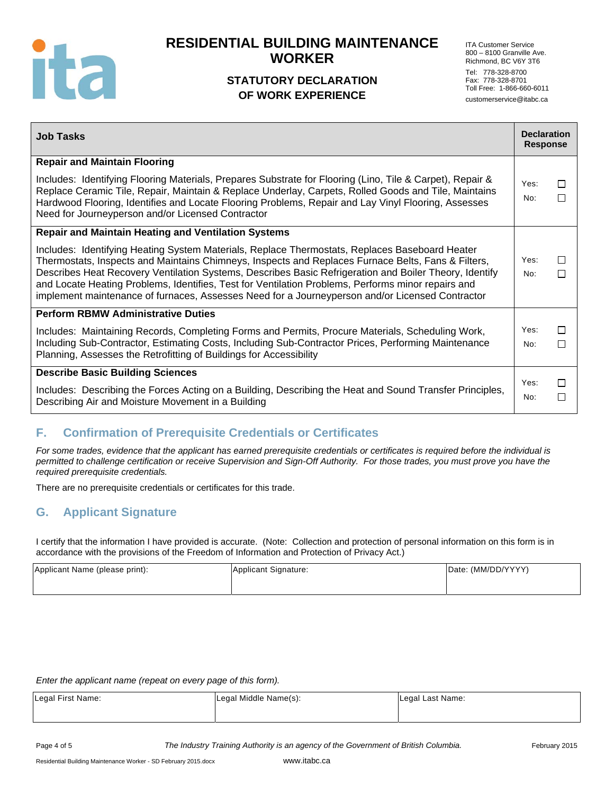

## **STATUTORY DECLARATION OF WORK EXPERIENCE**

ITA Customer Service 800 – 8100 Granville Ave. Richmond, BC V6Y 3T6 Tel: 778-328-8700 Fax: 778-328-8701 Toll Free: 1-866-660-6011 customerservice@itabc.ca

| <b>Job Tasks</b>                                                                                                                                                                                                                                                                                                                                                                                                                                                                                                        | <b>Declaration</b><br><b>Response</b> |              |
|-------------------------------------------------------------------------------------------------------------------------------------------------------------------------------------------------------------------------------------------------------------------------------------------------------------------------------------------------------------------------------------------------------------------------------------------------------------------------------------------------------------------------|---------------------------------------|--------------|
| <b>Repair and Maintain Flooring</b>                                                                                                                                                                                                                                                                                                                                                                                                                                                                                     |                                       |              |
| Includes: Identifying Flooring Materials, Prepares Substrate for Flooring (Lino, Tile & Carpet), Repair &<br>Replace Ceramic Tile, Repair, Maintain & Replace Underlay, Carpets, Rolled Goods and Tile, Maintains<br>Hardwood Flooring, Identifies and Locate Flooring Problems, Repair and Lay Vinyl Flooring, Assesses<br>Need for Journeyperson and/or Licensed Contractor                                                                                                                                           | Yes:<br>No:                           | П<br>$\Box$  |
| <b>Repair and Maintain Heating and Ventilation Systems</b>                                                                                                                                                                                                                                                                                                                                                                                                                                                              |                                       |              |
| Includes: Identifying Heating System Materials, Replace Thermostats, Replaces Baseboard Heater<br>Thermostats, Inspects and Maintains Chimneys, Inspects and Replaces Furnace Belts, Fans & Filters,<br>Describes Heat Recovery Ventilation Systems, Describes Basic Refrigeration and Boiler Theory, Identify<br>and Locate Heating Problems, Identifies, Test for Ventilation Problems, Performs minor repairs and<br>implement maintenance of furnaces, Assesses Need for a Journeyperson and/or Licensed Contractor | Yes:<br>No:                           | $\perp$<br>П |
| <b>Perform RBMW Administrative Duties</b>                                                                                                                                                                                                                                                                                                                                                                                                                                                                               |                                       |              |
| Includes: Maintaining Records, Completing Forms and Permits, Procure Materials, Scheduling Work,<br>Including Sub-Contractor, Estimating Costs, Including Sub-Contractor Prices, Performing Maintenance<br>Planning, Assesses the Retrofitting of Buildings for Accessibility                                                                                                                                                                                                                                           | Yes:<br>No:                           | П<br>$\Box$  |
| <b>Describe Basic Building Sciences</b>                                                                                                                                                                                                                                                                                                                                                                                                                                                                                 |                                       |              |
| Includes: Describing the Forces Acting on a Building, Describing the Heat and Sound Transfer Principles,<br>Describing Air and Moisture Movement in a Building                                                                                                                                                                                                                                                                                                                                                          | Yes:<br>No:                           | $\Box$<br>П  |

## **F. Confirmation of Prerequisite Credentials or Certificates**

*For some trades, evidence that the applicant has earned prerequisite credentials or certificates is required before the individual is permitted to challenge certification or receive Supervision and Sign-Off Authority. For those trades, you must prove you have the required prerequisite credentials.* 

There are no prerequisite credentials or certificates for this trade.

## **G. Applicant Signature**

I certify that the information I have provided is accurate. (Note: Collection and protection of personal information on this form is in accordance with the provisions of the Freedom of Information and Protection of Privacy Act.)

| Applicant Name (please print): | Applicant Signature: | Date: (MM/DD/YYYY) |
|--------------------------------|----------------------|--------------------|
|                                |                      |                    |

*Enter the applicant name (repeat on every page of this form).* 

| Legal First Name: | Legal Middle Name(s): | Legal Last Name: |
|-------------------|-----------------------|------------------|
|                   |                       |                  |

Page 4 of 5 *The Industry Training Authority is an agency of the Government of British Columbia.* February 2015